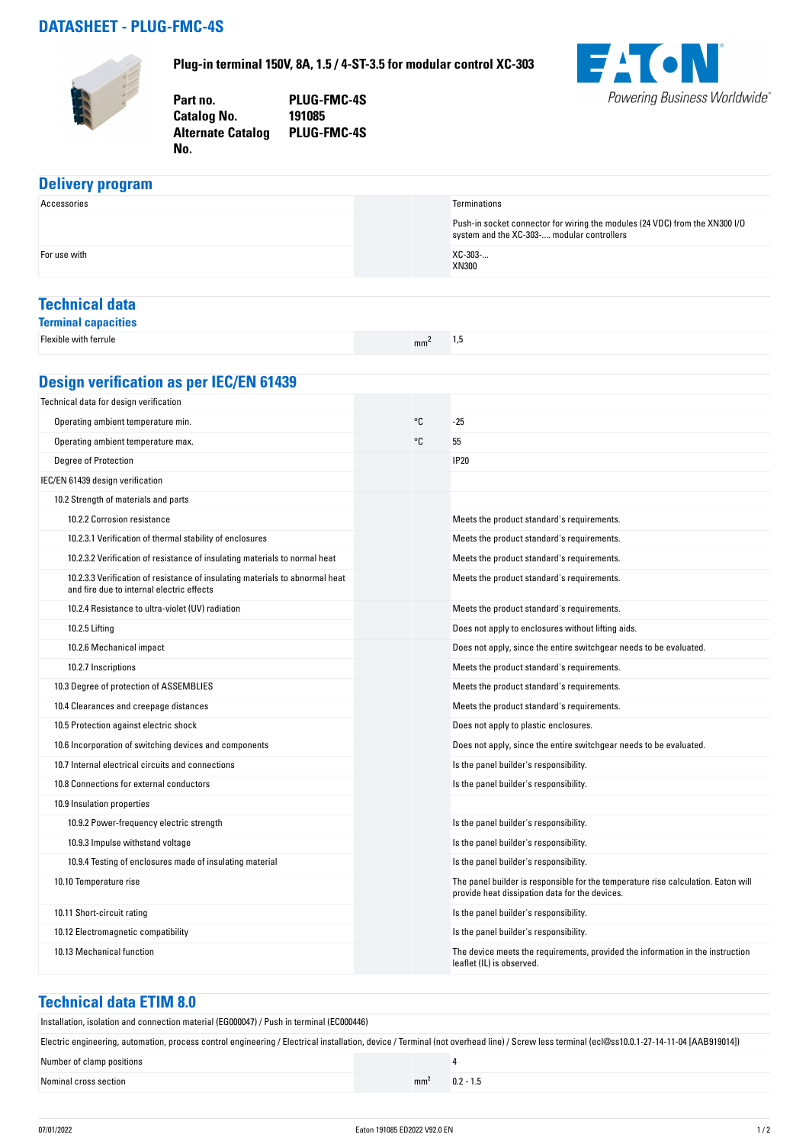## **DATASHEET - PLUG-FMC-4S**

**No.** 



**Plug-in terminal 150V, 8A, 1.5 / 4-ST-3.5 for modular control XC-303**

**Part no. PLUG-FMC-4S Catalog No. Alternate Catalog PLUG-FMC-4S**



## **Delivery program**

| Accessories                                                                                                               |                 | Terminations                                                                                                                        |  |  |  |
|---------------------------------------------------------------------------------------------------------------------------|-----------------|-------------------------------------------------------------------------------------------------------------------------------------|--|--|--|
|                                                                                                                           |                 | Push-in socket connector for wiring the modules (24 VDC) from the XN300 I/O<br>system and the XC-303- modular controllers           |  |  |  |
| For use with                                                                                                              |                 | XC-303-<br>XN300                                                                                                                    |  |  |  |
| <b>Technical data</b>                                                                                                     |                 |                                                                                                                                     |  |  |  |
| <b>Terminal capacities</b>                                                                                                |                 |                                                                                                                                     |  |  |  |
| Flexible with ferrule                                                                                                     | mm <sup>2</sup> | 1,5                                                                                                                                 |  |  |  |
| <b>Design verification as per IEC/EN 61439</b>                                                                            |                 |                                                                                                                                     |  |  |  |
|                                                                                                                           |                 |                                                                                                                                     |  |  |  |
| Technical data for design verification                                                                                    |                 |                                                                                                                                     |  |  |  |
| Operating ambient temperature min.                                                                                        | °C              | $-25$                                                                                                                               |  |  |  |
| Operating ambient temperature max.                                                                                        | °C              | 55                                                                                                                                  |  |  |  |
| Degree of Protection                                                                                                      |                 | <b>IP20</b>                                                                                                                         |  |  |  |
| IEC/EN 61439 design verification                                                                                          |                 |                                                                                                                                     |  |  |  |
| 10.2 Strength of materials and parts                                                                                      |                 |                                                                                                                                     |  |  |  |
| 10.2.2 Corrosion resistance                                                                                               |                 | Meets the product standard's requirements.                                                                                          |  |  |  |
| 10.2.3.1 Verification of thermal stability of enclosures                                                                  |                 | Meets the product standard's requirements.                                                                                          |  |  |  |
| 10.2.3.2 Verification of resistance of insulating materials to normal heat                                                |                 | Meets the product standard's requirements.                                                                                          |  |  |  |
| 10.2.3.3 Verification of resistance of insulating materials to abnormal heat<br>and fire due to internal electric effects |                 | Meets the product standard's requirements.                                                                                          |  |  |  |
| 10.2.4 Resistance to ultra-violet (UV) radiation                                                                          |                 | Meets the product standard's requirements.                                                                                          |  |  |  |
| 10.2.5 Lifting                                                                                                            |                 | Does not apply to enclosures without lifting aids.                                                                                  |  |  |  |
| 10.2.6 Mechanical impact                                                                                                  |                 | Does not apply, since the entire switchgear needs to be evaluated.                                                                  |  |  |  |
| 10.2.7 Inscriptions                                                                                                       |                 | Meets the product standard's requirements.                                                                                          |  |  |  |
| 10.3 Degree of protection of ASSEMBLIES                                                                                   |                 | Meets the product standard's requirements.                                                                                          |  |  |  |
| 10.4 Clearances and creepage distances                                                                                    |                 | Meets the product standard's requirements.                                                                                          |  |  |  |
| 10.5 Protection against electric shock                                                                                    |                 | Does not apply to plastic enclosures.                                                                                               |  |  |  |
| 10.6 Incorporation of switching devices and components                                                                    |                 | Does not apply, since the entire switchgear needs to be evaluated.                                                                  |  |  |  |
| 10.7 Internal electrical circuits and connections                                                                         |                 | Is the panel builder's responsibility.                                                                                              |  |  |  |
| 10.8 Connections for external conductors                                                                                  |                 | Is the panel builder's responsibility.                                                                                              |  |  |  |
| 10.9 Insulation properties                                                                                                |                 |                                                                                                                                     |  |  |  |
| 10.9.2 Power-frequency electric strength                                                                                  |                 | Is the panel builder's responsibility.                                                                                              |  |  |  |
| 10.9.3 Impulse withstand voltage                                                                                          |                 | Is the panel builder's responsibility.                                                                                              |  |  |  |
| 10.9.4 Testing of enclosures made of insulating material                                                                  |                 | Is the panel builder's responsibility.                                                                                              |  |  |  |
| 10.10 Temperature rise                                                                                                    |                 | The panel builder is responsible for the temperature rise calculation. Eaton will<br>provide heat dissipation data for the devices. |  |  |  |
| 10.11 Short-circuit rating                                                                                                |                 | Is the panel builder's responsibility.                                                                                              |  |  |  |
| 10.12 Electromagnetic compatibility                                                                                       |                 | Is the panel builder's responsibility.                                                                                              |  |  |  |
| 10.13 Mechanical function                                                                                                 |                 | The device meets the requirements, provided the information in the instruction                                                      |  |  |  |

## **Technical data ETIM 8.0**

Installation, isolation and connection material (EG000047) / Push in terminal (EC000446)

| Electric engineering, automation, process control engineering / Electrical installation, device / Terminal (not overhead line) / Screw less terminal (ecl@ss10.0.1-27-14-11-04 [AAB919014]) |                 |             |  |  |
|---------------------------------------------------------------------------------------------------------------------------------------------------------------------------------------------|-----------------|-------------|--|--|
| Number of clamp positions                                                                                                                                                                   |                 |             |  |  |
| Nominal cross section                                                                                                                                                                       | mm <sup>2</sup> | $0.2 - 1.5$ |  |  |

leaflet (IL) is observed.